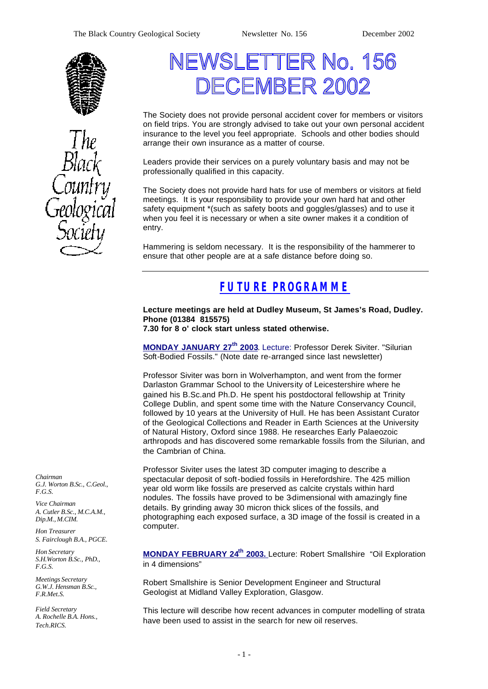



# NEWSLETTER No. 156 DECEMBER 2002

The Society does not provide personal accident cover for members or visitors on field trips. You are strongly advised to take out your own personal accident insurance to the level you feel appropriate. Schools and other bodies should arrange their own insurance as a matter of course.

Leaders provide their services on a purely voluntary basis and may not be professionally qualified in this capacity.

The Society does not provide hard hats for use of members or visitors at field meetings. It is your responsibility to provide your own hard hat and other safety equipment \*(such as safety boots and goggles/glasses) and to use it when you feel it is necessary or when a site owner makes it a condition of entry.

Hammering is seldom necessary. It is the responsibility of the hammerer to ensure that other people are at a safe distance before doing so.

# *FUTURE PROGRAMME*

**Lecture meetings are held at Dudley Museum, St James's Road, Dudley. Phone (01384 815575)**

**7.30 for 8 o' clock start unless stated otherwise.**

**MONDAY JANUARY 27th 2003**. Lecture: Professor Derek Siviter. "Silurian Soft-Bodied Fossils." (Note date re-arranged since last newsletter)

Professor Siviter was born in Wolverhampton, and went from the former Darlaston Grammar School to the University of Leicestershire where he gained his B.Sc.and Ph.D. He spent his postdoctoral fellowship at Trinity College Dublin, and spent some time with the Nature Conservancy Council, followed by 10 years at the University of Hull. He has been Assistant Curator of the Geological Collections and Reader in Earth Sciences at the University of Natural History, Oxford since 1988. He researches Early Palaeozoic arthropods and has discovered some remarkable fossils from the Silurian, and the Cambrian of China.

Professor Siviter uses the latest 3D computer imaging to describe a spectacular deposit of soft-bodied fossils in Herefordshire. The 425 million year old worm like fossils are preserved as calcite crystals within hard nodules. The fossils have proved to be 3-dimensional with amazingly fine details. By grinding away 30 micron thick slices of the fossils, and photographing each exposed surface, a 3D image of the fossil is created in a computer.

**MONDAY FEBRUARY 24th 2003.** Lecture: Robert Smallshire "Oil Exploration in 4 dimensions"

Robert Smallshire is Senior Development Engineer and Structural Geologist at Midland Valley Exploration, Glasgow.

This lecture will describe how recent advances in computer modelling of strata have been used to assist in the search for new oil reserves.

*Chairman G.J. Worton B.Sc., C.Geol., F.G.S.*

*Vice Chairman A. Cutler B.Sc., M.C.A.M., Dip.M., M.CIM.*

*Hon Treasurer S. Fairclough B.A., PGCE.*

*Hon Secretary S.H.Worton B.Sc., PhD., F.G.S.*

*Meetings Secretary G.W.J. Hensman B.Sc., F.R.Met.S.*

*Field Secretary A. Rochelle B.A. Hons., Tech.RICS.*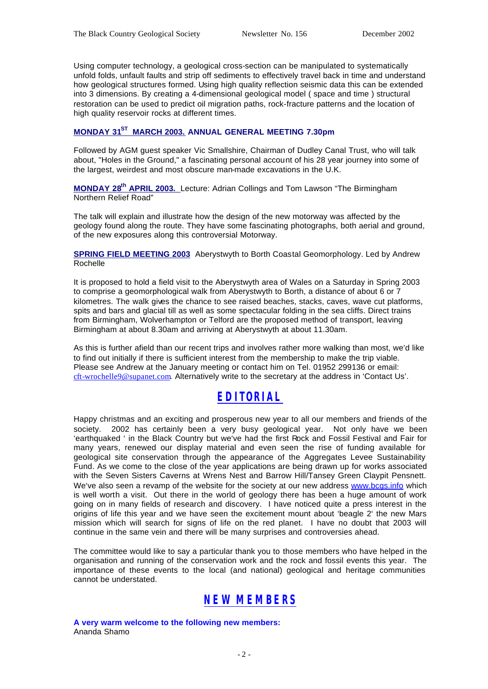Using computer technology, a geological cross-section can be manipulated to systematically unfold folds, unfault faults and strip off sediments to effectively travel back in time and understand how geological structures formed. Using high quality reflection seismic data this can be extended into 3 dimensions. By creating a 4-dimensional geological model ( space and time ) structural restoration can be used to predict oil migration paths, rock-fracture patterns and the location of high quality reservoir rocks at different times.

#### **MONDAY 31ST MARCH 2003. ANNUAL GENERAL MEETING 7.30pm**

Followed by AGM guest speaker Vic Smallshire, Chairman of Dudley Canal Trust, who will talk about, "Holes in the Ground," a fascinating personal account of his 28 year journey into some of the largest, weirdest and most obscure man-made excavations in the U.K.

**MONDAY 28th APRIL 2003.** Lecture: Adrian Collings and Tom Lawson "The Birmingham Northern Relief Road"

The talk will explain and illustrate how the design of the new motorway was affected by the geology found along the route. They have some fascinating photographs, both aerial and ground, of the new exposures along this controversial Motorway.

**SPRING FIELD MEETING 2003** Aberystwyth to Borth Coastal Geomorphology. Led by Andrew Rochelle

It is proposed to hold a field visit to the Aberystwyth area of Wales on a Saturday in Spring 2003 to comprise a geomorphological walk from Aberystwyth to Borth, a distance of about 6 or 7 kilometres. The walk gives the chance to see raised beaches, stacks, caves, wave cut platforms, spits and bars and glacial till as well as some spectacular folding in the sea cliffs. Direct trains from Birmingham, Wolverhampton or Telford are the proposed method of transport, leaving Birmingham at about 8.30am and arriving at Aberystwyth at about 11.30am.

As this is further afield than our recent trips and involves rather more walking than most, we'd like to find out initially if there is sufficient interest from the membership to make the trip viable. Please see Andrew at the January meeting or contact him on Tel. 01952 299136 or email: cft-wrochelle9@supanet.com. Alternatively write to the secretary at the address in 'Contact Us'.

## *EDITORIAL*

Happy christmas and an exciting and prosperous new year to all our members and friends of the society. 2002 has certainly been a very busy geological year. Not only have we been 'earthquaked ' in the Black Country but we've had the first Rock and Fossil Festival and Fair for many years, renewed our display material and even seen the rise of funding available for geological site conservation through the appearance of the Aggregates Levee Sustainability Fund. As we come to the close of the year applications are being drawn up for works associated with the Seven Sisters Caverns at Wrens Nest and Barrow Hill/Tansey Green Claypit Pensnett. We've also seen a revamp of the website for the society at our new address www.bcgs.info which is well worth a visit. Out there in the world of geology there has been a huge amount of work going on in many fields of research and discovery. I have noticed quite a press interest in the origins of life this year and we have seen the excitement mount about 'beagle 2' the new Mars mission which will search for signs of life on the red planet. I have no doubt that 2003 will continue in the same vein and there will be many surprises and controversies ahead.

The committee would like to say a particular thank you to those members who have helped in the organisation and running of the conservation work and the rock and fossil events this year. The importance of these events to the local (and national) geological and heritage communities cannot be understated.

# *NEW MEMBERS*

**A very warm welcome to the following new members:** Ananda Shamo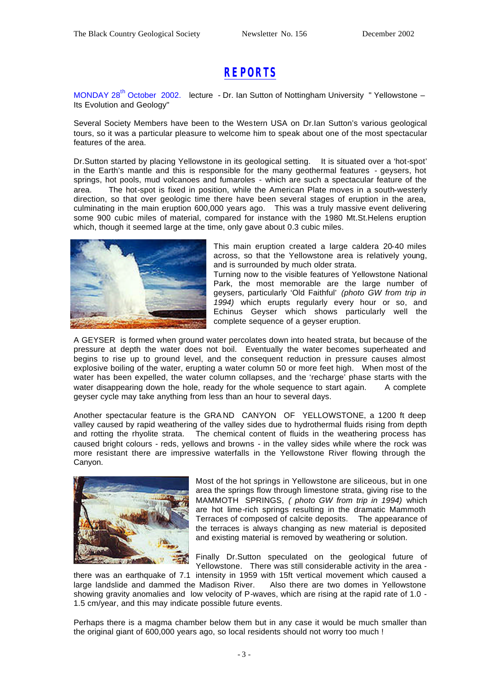## *REPORTS*

MONDAY 28<sup>th</sup> October 2002. lecture - Dr. Ian Sutton of Nottingham University " Yellowstone – Its Evolution and Geology"

Several Society Members have been to the Western USA on Dr.Ian Sutton's various geological tours, so it was a particular pleasure to welcome him to speak about one of the most spectacular features of the area.

Dr.Sutton started by placing Yellowstone in its geological setting. It is situated over a 'hot-spot' in the Earth's mantle and this is responsible for the many geothermal features - geysers, hot springs, hot pools, mud volcanoes and fumaroles - which are such a spectacular feature of the area. The hot-spot is fixed in position, while the American Plate moves in a south-westerly direction, so that over geologic time there have been several stages of eruption in the area, culminating in the main eruption 600,000 years ago. This was a truly massive event delivering some 900 cubic miles of material, compared for instance with the 1980 Mt.St.Helens eruption which, though it seemed large at the time, only gave about 0.3 cubic miles.



This main eruption created a large caldera 20-40 miles across, so that the Yellowstone area is relatively young, and is surrounded by much older strata.

Turning now to the visible features of Yellowstone National Park, the most memorable are the large number of geysers, particularly 'Old Faithful' *(photo GW from trip in 1994)* which erupts regularly every hour or so, and Echinus Geyser which shows particularly well the complete sequence of a geyser eruption.

A GEYSER is formed when ground water percolates down into heated strata, but because of the pressure at depth the water does not boil. Eventually the water becomes superheated and begins to rise up to ground level, and the consequent reduction in pressure causes almost explosive boiling of the water, erupting a water column 50 or more feet high. When most of the water has been expelled, the water column collapses, and the 'recharge' phase starts with the water disappearing down the hole, ready for the whole sequence to start again. A complete geyser cycle may take anything from less than an hour to several days.

Another spectacular feature is the GRA ND CANYON OF YELLOWSTONE, a 1200 ft deep valley caused by rapid weathering of the valley sides due to hydrothermal fluids rising from depth and rotting the rhyolite strata. The chemical content of fluids in the weathering process has caused bright colours - reds, yellows and browns - in the valley sides while where the rock was more resistant there are impressive waterfalls in the Yellowstone River flowing through the Canyon.



Most of the hot springs in Yellowstone are siliceous, but in one area the springs flow through limestone strata, giving rise to the MAMMOTH SPRINGS, *( photo GW from trip in 1994)* which are hot lime-rich springs resulting in the dramatic Mammoth Terraces of composed of calcite deposits. The appearance of the terraces is always changing as new material is deposited and existing material is removed by weathering or solution.

Finally Dr.Sutton speculated on the geological future of Yellowstone. There was still considerable activity in the area -

there was an earthquake of 7.1 intensity in 1959 with 15ft vertical movement which caused a large landslide and dammed the Madison River. Also there are two domes in Yellowstone showing gravity anomalies and low velocity of P-waves, which are rising at the rapid rate of 1.0 - 1.5 cm/year, and this may indicate possible future events.

Perhaps there is a magma chamber below them but in any case it would be much smaller than the original giant of 600,000 years ago, so local residents should not worry too much !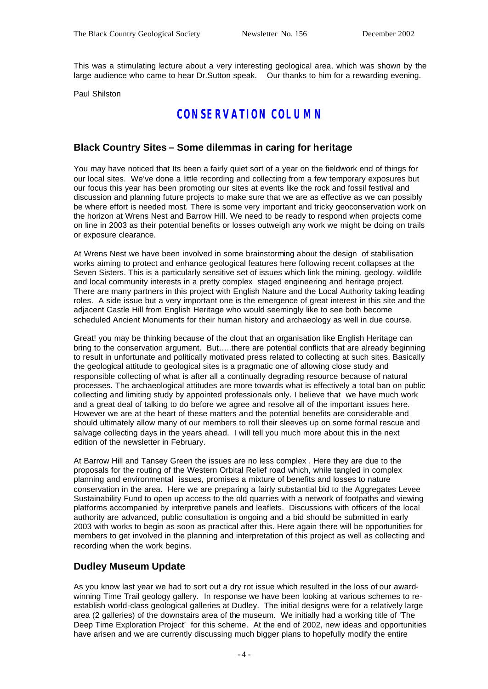This was a stimulating lecture about a very interesting geological area, which was shown by the large audience who came to hear Dr.Sutton speak. Our thanks to him for a rewarding evening.

Paul Shilston

## *CONSERVATION COLUMN*

#### **Black Country Sites – Some dilemmas in caring for heritage**

You may have noticed that Its been a fairly quiet sort of a year on the fieldwork end of things for our local sites. We've done a little recording and collecting from a few temporary exposures but our focus this year has been promoting our sites at events like the rock and fossil festival and discussion and planning future projects to make sure that we are as effective as we can possibly be where effort is needed most. There is some very important and tricky geoconservation work on the horizon at Wrens Nest and Barrow Hill. We need to be ready to respond when projects come on line in 2003 as their potential benefits or losses outweigh any work we might be doing on trails or exposure clearance.

At Wrens Nest we have been involved in some brainstorming about the design of stabilisation works aiming to protect and enhance geological features here following recent collapses at the Seven Sisters. This is a particularly sensitive set of issues which link the mining, geology, wildlife and local community interests in a pretty complex staged engineering and heritage project. There are many partners in this project with English Nature and the Local Authority taking leading roles. A side issue but a very important one is the emergence of great interest in this site and the adjacent Castle Hill from English Heritage who would seemingly like to see both become scheduled Ancient Monuments for their human history and archaeology as well in due course.

Great! you may be thinking because of the clout that an organisation like English Heritage can bring to the conservation argument. But…..there are potential conflicts that are already beginning to result in unfortunate and politically motivated press related to collecting at such sites. Basically the geological attitude to geological sites is a pragmatic one of allowing close study and responsible collecting of what is after all a continually degrading resource because of natural processes. The archaeological attitudes are more towards what is effectively a total ban on public collecting and limiting study by appointed professionals only. I believe that we have much work and a great deal of talking to do before we agree and resolve all of the important issues here. However we are at the heart of these matters and the potential benefits are considerable and should ultimately allow many of our members to roll their sleeves up on some formal rescue and salvage collecting days in the years ahead. I will tell you much more about this in the next edition of the newsletter in February.

At Barrow Hill and Tansey Green the issues are no less complex . Here they are due to the proposals for the routing of the Western Orbital Relief road which, while tangled in complex planning and environmental issues, promises a mixture of benefits and losses to nature conservation in the area. Here we are preparing a fairly substantial bid to the Aggregates Levee Sustainability Fund to open up access to the old quarries with a network of footpaths and viewing platforms accompanied by interpretive panels and leaflets. Discussions with officers of the local authority are advanced, public consultation is ongoing and a bid should be submitted in early 2003 with works to begin as soon as practical after this. Here again there will be opportunities for members to get involved in the planning and interpretation of this project as well as collecting and recording when the work begins.

#### **Dudley Museum Update**

As you know last year we had to sort out a dry rot issue which resulted in the loss of our awardwinning Time Trail geology gallery. In response we have been looking at various schemes to reestablish world-class geological galleries at Dudley. The initial designs were for a relatively large area (2 galleries) of the downstairs area of the museum. We initially had a working title of 'The Deep Time Exploration Project' for this scheme. At the end of 2002, new ideas and opportunities have arisen and we are currently discussing much bigger plans to hopefully modify the entire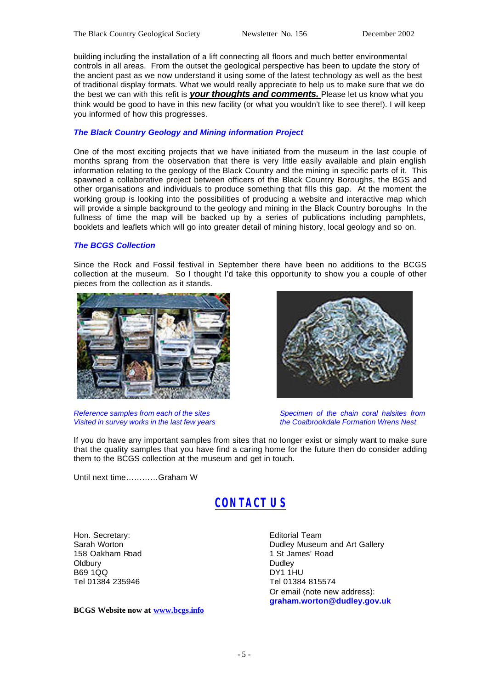building including the installation of a lift connecting all floors and much better environmental controls in all areas. From the outset the geological perspective has been to update the story of the ancient past as we now understand it using some of the latest technology as well as the best of traditional display formats. What we would really appreciate to help us to make sure that we do the best we can with this refit is *your thoughts and comments.* Please let us know what you think would be good to have in this new facility (or what you wouldn't like to see there!). I will keep you informed of how this progresses.

#### *The Black Country Geology and Mining information Project*

One of the most exciting projects that we have initiated from the museum in the last couple of months sprang from the observation that there is very little easily available and plain english information relating to the geology of the Black Country and the mining in specific parts of it. This spawned a collaborative project between officers of the Black Country Boroughs, the BGS and other organisations and individuals to produce something that fills this gap. At the moment the working group is looking into the possibilities of producing a website and interactive map which will provide a simple background to the geology and mining in the Black Country boroughs In the fullness of time the map will be backed up by a series of publications including pamphlets, booklets and leaflets which will go into greater detail of mining history, local geology and so on.

#### *The BCGS Collection*

Since the Rock and Fossil festival in September there have been no additions to the BCGS collection at the museum. So I thought I'd take this opportunity to show you a couple of other pieces from the collection as it stands.



*Reference samples from each of the sites Specimen of the chain coral halsites from Visited in survey works in the last few years* 

If you do have any important samples from sites that no longer exist or simply want to make sure that the quality samples that you have find a caring home for the future then do consider adding them to the BCGS collection at the museum and get in touch.

Until next time…………Graham W

# *CONTACT US*

Hon. Secretary: Sarah Worton 158 Oakham Road **Oldbury** B69 1QQ Tel 01384 235946

**BCGS Website now at www.bcgs.info**

Editorial Team Dudley Museum and Art Gallery 1 St James' Road Dudley DY1 1HU Tel 01384 815574 Or email (note new address): **graham.worton@dudley.gov.uk**